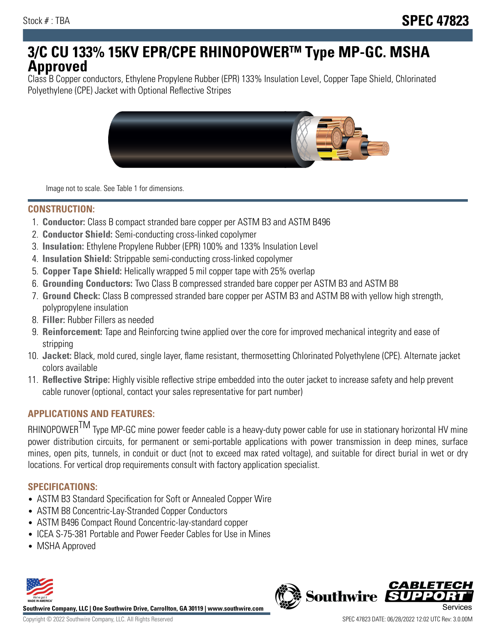# **3/C CU 133% 15KV EPR/CPE RHINOPOWERTM Type MP-GC. MSHA Approved**

Class B Copper conductors, Ethylene Propylene Rubber (EPR) 133% Insulation Level, Copper Tape Shield, Chlorinated Polyethylene (CPE) Jacket with Optional Reflective Stripes



Image not to scale. See Table 1 for dimensions.

#### **CONSTRUCTION:**

- 1. **Conductor:** Class B compact stranded bare copper per ASTM B3 and ASTM B496
- 2. **Conductor Shield:** Semi-conducting cross-linked copolymer
- 3. **Insulation:** Ethylene Propylene Rubber (EPR) 100% and 133% Insulation Level
- 4. **Insulation Shield:** Strippable semi-conducting cross-linked copolymer
- 5. **Copper Tape Shield:** Helically wrapped 5 mil copper tape with 25% overlap
- 6. **Grounding Conductors:** Two Class B compressed stranded bare copper per ASTM B3 and ASTM B8
- 7. **Ground Check:** Class B compressed stranded bare copper per ASTM B3 and ASTM B8 with yellow high strength, polypropylene insulation
- 8. **Filler:** Rubber Fillers as needed
- 9. **Reinforcement:** Tape and Reinforcing twine applied over the core for improved mechanical integrity and ease of stripping
- 10. **Jacket:** Black, mold cured, single layer, flame resistant, thermosetting Chlorinated Polyethylene (CPE). Alternate jacket colors available
- 11. **Reflective Stripe:** Highly visible reflective stripe embedded into the outer jacket to increase safety and help prevent cable runover (optional, contact your sales representative for part number)

## **APPLICATIONS AND FEATURES:**

RHINOPOWER<sup>TM</sup> Type MP-GC mine power feeder cable is a heavy-duty power cable for use in stationary horizontal HV mine power distribution circuits, for permanent or semi-portable applications with power transmission in deep mines, surface mines, open pits, tunnels, in conduit or duct (not to exceed max rated voltage), and suitable for direct burial in wet or dry locations. For vertical drop requirements consult with factory application specialist.

## **SPECIFICATIONS:**

- ASTM B3 Standard Specification for Soft or Annealed Copper Wire
- ASTM B8 Concentric-Lay-Stranded Copper Conductors
- ASTM B496 Compact Round Concentric-lay-standard copper
- ICEA S-75-381 Portable and Power Feeder Cables for Use in Mines
- MSHA Approved



**Southwire Company, LLC | One Southwire Drive, Carrollton, GA 30119 | www.southwire.com**

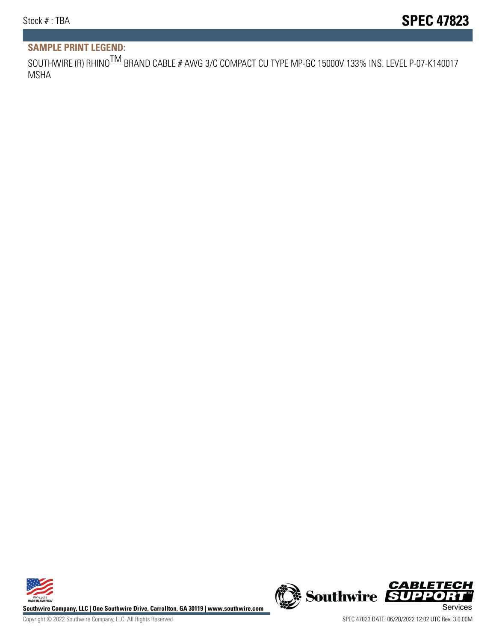# **SAMPLE PRINT LEGEND:**

SOUTHWIRE (R) RHINO<sup>TM</sup> BRAND CABLE # AWG 3/C COMPACT CU TYPE MP-GC 15000V 133% INS. LEVEL P-07-K140017 MSHA